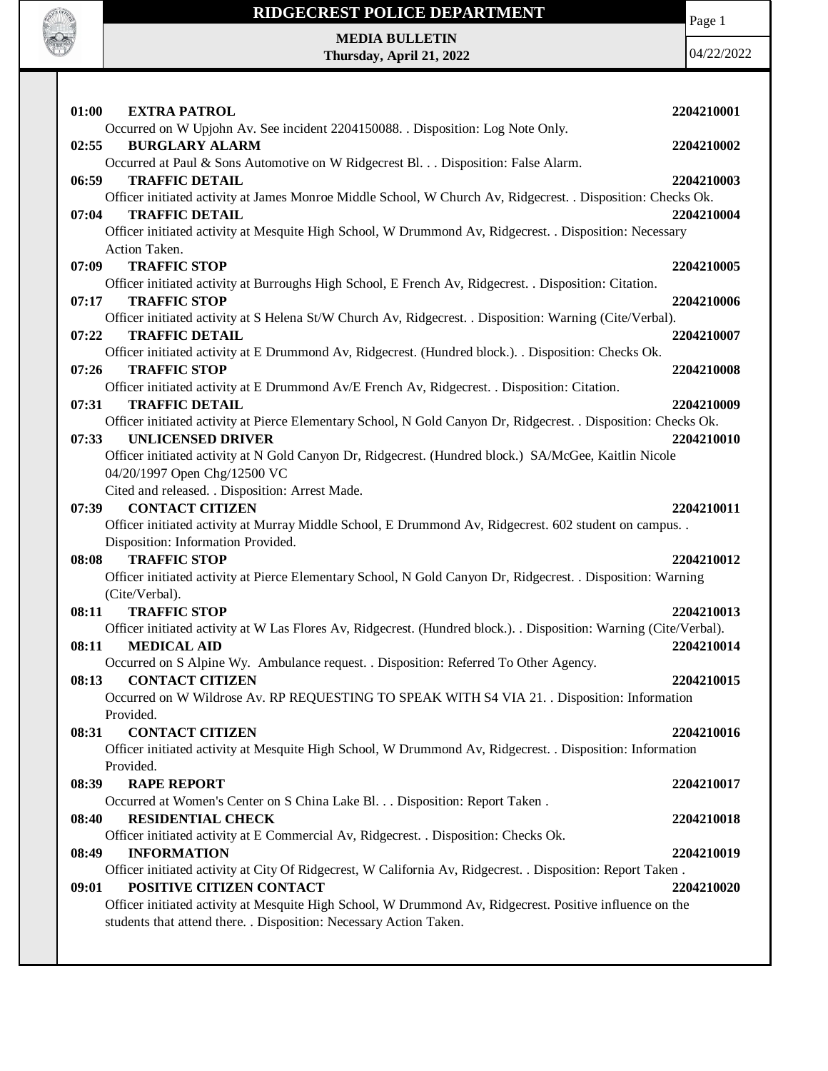

### **RIDGECREST POLICE DEPARTMENT**

Page 1

04/22/2022

**MEDIA BULLETIN Thursday, April 21, 2022**

**01:00 EXTRA PATROL 2204210001** Occurred on W Upjohn Av. See incident 2204150088. . Disposition: Log Note Only. **02:55 BURGLARY ALARM 2204210002** Occurred at Paul & Sons Automotive on W Ridgecrest Bl. . . Disposition: False Alarm. **06:59 TRAFFIC DETAIL 2204210003** Officer initiated activity at James Monroe Middle School, W Church Av, Ridgecrest. . Disposition: Checks Ok. **07:04 TRAFFIC DETAIL 2204210004** Officer initiated activity at Mesquite High School, W Drummond Av, Ridgecrest. . Disposition: Necessary Action Taken. **07:09 TRAFFIC STOP 2204210005** Officer initiated activity at Burroughs High School, E French Av, Ridgecrest. . Disposition: Citation. **07:17 TRAFFIC STOP 2204210006** Officer initiated activity at S Helena St/W Church Av, Ridgecrest. . Disposition: Warning (Cite/Verbal). **07:22 TRAFFIC DETAIL 2204210007** Officer initiated activity at E Drummond Av, Ridgecrest. (Hundred block.). . Disposition: Checks Ok. **07:26 TRAFFIC STOP 2204210008** Officer initiated activity at E Drummond Av/E French Av, Ridgecrest. . Disposition: Citation. **07:31 TRAFFIC DETAIL 2204210009** Officer initiated activity at Pierce Elementary School, N Gold Canyon Dr, Ridgecrest. . Disposition: Checks Ok. **07:33 UNLICENSED DRIVER 2204210010** Officer initiated activity at N Gold Canyon Dr, Ridgecrest. (Hundred block.) SA/McGee, Kaitlin Nicole 04/20/1997 Open Chg/12500 VC Cited and released. . Disposition: Arrest Made. **07:39 CONTACT CITIZEN 2204210011** Officer initiated activity at Murray Middle School, E Drummond Av, Ridgecrest. 602 student on campus. . Disposition: Information Provided. **08:08 TRAFFIC STOP 2204210012** Officer initiated activity at Pierce Elementary School, N Gold Canyon Dr, Ridgecrest. . Disposition: Warning (Cite/Verbal). **08:11 TRAFFIC STOP 2204210013** Officer initiated activity at W Las Flores Av, Ridgecrest. (Hundred block.). . Disposition: Warning (Cite/Verbal). **08:11 MEDICAL AID 2204210014** Occurred on S Alpine Wy. Ambulance request. . Disposition: Referred To Other Agency. **08:13 CONTACT CITIZEN 2204210015** Occurred on W Wildrose Av. RP REQUESTING TO SPEAK WITH S4 VIA 21. . Disposition: Information Provided. **08:31 CONTACT CITIZEN 2204210016** Officer initiated activity at Mesquite High School, W Drummond Av, Ridgecrest. . Disposition: Information Provided. **08:39 RAPE REPORT 2204210017** Occurred at Women's Center on S China Lake Bl. . . Disposition: Report Taken . **08:40 RESIDENTIAL CHECK 2204210018** Officer initiated activity at E Commercial Av, Ridgecrest. . Disposition: Checks Ok. **08:49 INFORMATION 2204210019** Officer initiated activity at City Of Ridgecrest, W California Av, Ridgecrest. . Disposition: Report Taken . **09:01 POSITIVE CITIZEN CONTACT 2204210020** Officer initiated activity at Mesquite High School, W Drummond Av, Ridgecrest. Positive influence on the students that attend there. . Disposition: Necessary Action Taken.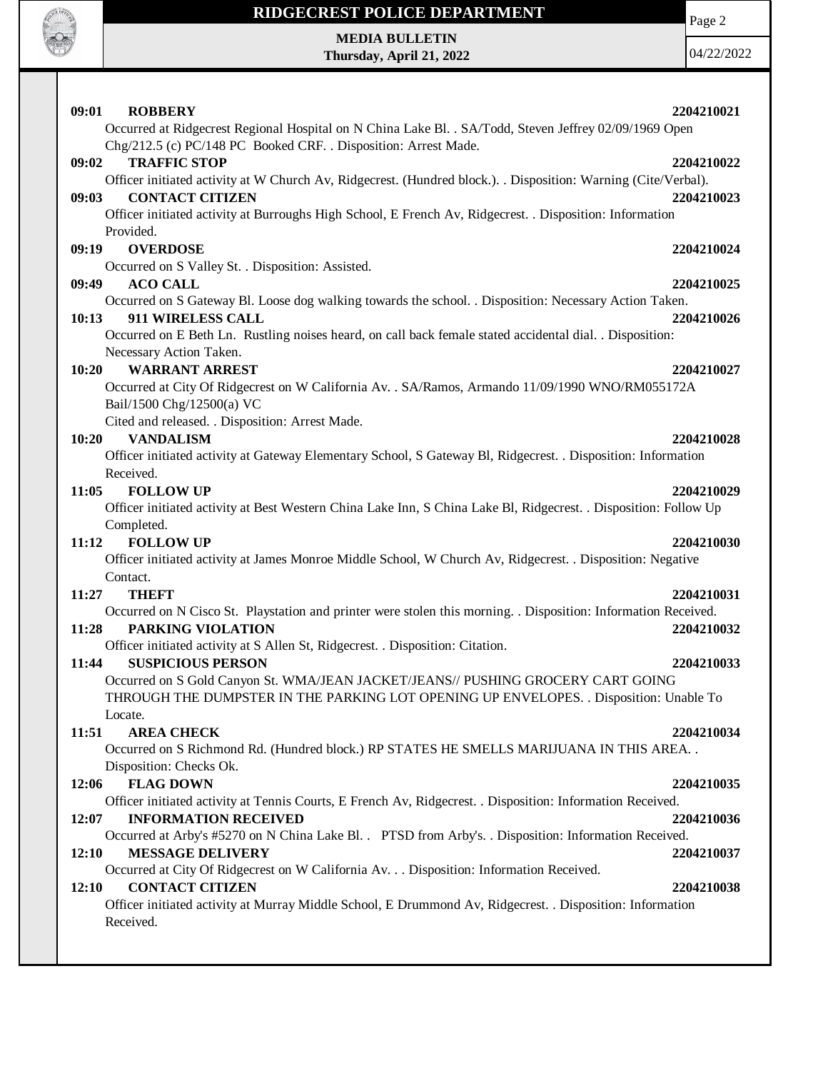

# **RIDGECREST POLICE DEPARTMENT MEDIA BULLETIN**

**Thursday, April 21, 2022**

Page 2

04/22/2022

| 09:01<br><b>ROBBERY</b>                                                                                            | 2204210021 |
|--------------------------------------------------------------------------------------------------------------------|------------|
| Occurred at Ridgecrest Regional Hospital on N China Lake Bl. . SA/Todd, Steven Jeffrey 02/09/1969 Open             |            |
| Chg/212.5 (c) PC/148 PC Booked CRF. . Disposition: Arrest Made.                                                    |            |
| <b>TRAFFIC STOP</b><br>09:02                                                                                       | 2204210022 |
| Officer initiated activity at W Church Av, Ridgecrest. (Hundred block.). . Disposition: Warning (Cite/Verbal).     |            |
| <b>CONTACT CITIZEN</b><br>09:03                                                                                    | 2204210023 |
| Officer initiated activity at Burroughs High School, E French Av, Ridgecrest. . Disposition: Information           |            |
| Provided.                                                                                                          |            |
| 09:19<br><b>OVERDOSE</b>                                                                                           | 2204210024 |
| Occurred on S Valley St. . Disposition: Assisted.                                                                  |            |
| <b>ACO CALL</b><br>09:49                                                                                           | 2204210025 |
| Occurred on S Gateway Bl. Loose dog walking towards the school. . Disposition: Necessary Action Taken.             |            |
| 911 WIRELESS CALL<br>10:13                                                                                         | 2204210026 |
| Occurred on E Beth Ln. Rustling noises heard, on call back female stated accidental dial. . Disposition:           |            |
| Necessary Action Taken.                                                                                            |            |
| <b>WARRANT ARREST</b><br>10:20                                                                                     | 2204210027 |
| Occurred at City Of Ridgecrest on W California Av. . SA/Ramos, Armando 11/09/1990 WNO/RM055172A                    |            |
| Bail/1500 Chg/12500(a) VC                                                                                          |            |
| Cited and released. . Disposition: Arrest Made.                                                                    |            |
| 10:20<br><b>VANDALISM</b>                                                                                          | 2204210028 |
| Officer initiated activity at Gateway Elementary School, S Gateway Bl, Ridgecrest. . Disposition: Information      |            |
| Received.                                                                                                          |            |
| <b>FOLLOW UP</b><br>11:05                                                                                          | 2204210029 |
| Officer initiated activity at Best Western China Lake Inn, S China Lake Bl, Ridgecrest. . Disposition: Follow Up   |            |
| Completed.                                                                                                         |            |
| <b>FOLLOW UP</b><br>11:12                                                                                          | 2204210030 |
| Officer initiated activity at James Monroe Middle School, W Church Av, Ridgecrest. . Disposition: Negative         |            |
| Contact.                                                                                                           |            |
| 11:27<br><b>THEFT</b>                                                                                              | 2204210031 |
| Occurred on N Cisco St. Playstation and printer were stolen this morning. . Disposition: Information Received.     |            |
| PARKING VIOLATION<br>11:28                                                                                         | 2204210032 |
| Officer initiated activity at S Allen St, Ridgecrest. . Disposition: Citation.                                     |            |
| <b>SUSPICIOUS PERSON</b><br>11:44                                                                                  | 2204210033 |
| Occurred on S Gold Canyon St. WMA/JEAN JACKET/JEANS// PUSHING GROCERY CART GOING                                   |            |
| THROUGH THE DUMPSTER IN THE PARKING LOT OPENING UP ENVELOPES. . Disposition: Unable To                             |            |
| Locate.                                                                                                            |            |
| 11:51<br><b>AREA CHECK</b>                                                                                         | 2204210034 |
| Occurred on S Richmond Rd. (Hundred block.) RP STATES HE SMELLS MARIJUANA IN THIS AREA. .                          |            |
| Disposition: Checks Ok.                                                                                            |            |
| <b>FLAG DOWN</b><br>12:06                                                                                          | 2204210035 |
| Officer initiated activity at Tennis Courts, E French Av, Ridgecrest. . Disposition: Information Received.         |            |
| 12:07<br><b>INFORMATION RECEIVED</b>                                                                               | 2204210036 |
| Occurred at Arby's #5270 on N China Lake Bl. . PTSD from Arby's. . Disposition: Information Received.              |            |
| 12:10<br><b>MESSAGE DELIVERY</b>                                                                                   | 2204210037 |
| Occurred at City Of Ridgecrest on W California Av. Disposition: Information Received.<br><b>CONTACT CITIZEN</b>    | 2204210038 |
| 12:10<br>Officer initiated activity at Murray Middle School, E Drummond Av, Ridgecrest. . Disposition: Information |            |
| Received.                                                                                                          |            |
|                                                                                                                    |            |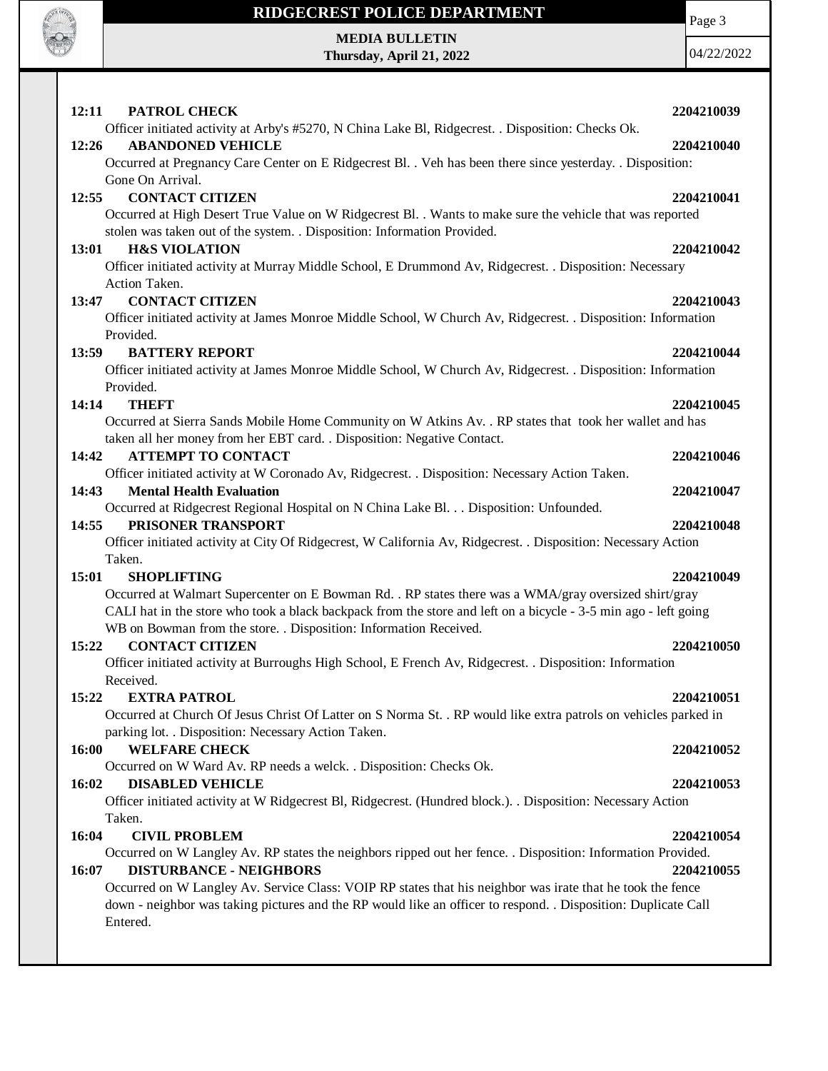

## **RIDGECREST POLICE DEPARTMENT**

**MEDIA BULLETIN Thursday, April 21, 2022** Page 3

04/22/2022

| 12:11<br>PATROL CHECK                                                                                                                            | 2204210039 |
|--------------------------------------------------------------------------------------------------------------------------------------------------|------------|
| Officer initiated activity at Arby's #5270, N China Lake Bl, Ridgecrest. . Disposition: Checks Ok.                                               |            |
| <b>ABANDONED VEHICLE</b><br>12:26                                                                                                                | 2204210040 |
| Occurred at Pregnancy Care Center on E Ridgecrest Bl. . Veh has been there since yesterday. . Disposition:                                       |            |
| Gone On Arrival.                                                                                                                                 |            |
| <b>CONTACT CITIZEN</b><br>12:55                                                                                                                  | 2204210041 |
| Occurred at High Desert True Value on W Ridgecrest Bl. . Wants to make sure the vehicle that was reported                                        |            |
| stolen was taken out of the system. . Disposition: Information Provided.                                                                         |            |
| <b>H&amp;S VIOLATION</b><br>13:01                                                                                                                | 2204210042 |
| Officer initiated activity at Murray Middle School, E Drummond Av, Ridgecrest. . Disposition: Necessary                                          |            |
| Action Taken.                                                                                                                                    |            |
| <b>CONTACT CITIZEN</b><br>13:47                                                                                                                  | 2204210043 |
| Officer initiated activity at James Monroe Middle School, W Church Av, Ridgecrest. . Disposition: Information<br>Provided.                       |            |
| <b>BATTERY REPORT</b><br>13:59                                                                                                                   | 2204210044 |
| Officer initiated activity at James Monroe Middle School, W Church Av, Ridgecrest. . Disposition: Information                                    |            |
| Provided.                                                                                                                                        |            |
| 14:14<br><b>THEFT</b>                                                                                                                            | 2204210045 |
| Occurred at Sierra Sands Mobile Home Community on W Atkins Av. . RP states that took her wallet and has                                          |            |
| taken all her money from her EBT card. . Disposition: Negative Contact.                                                                          |            |
| 14:42<br><b>ATTEMPT TO CONTACT</b>                                                                                                               | 2204210046 |
| Officer initiated activity at W Coronado Av, Ridgecrest. . Disposition: Necessary Action Taken.                                                  |            |
| <b>Mental Health Evaluation</b><br>14:43                                                                                                         | 2204210047 |
| Occurred at Ridgecrest Regional Hospital on N China Lake Bl. Disposition: Unfounded.                                                             |            |
| 14:55<br>PRISONER TRANSPORT                                                                                                                      | 2204210048 |
| Officer initiated activity at City Of Ridgecrest, W California Av, Ridgecrest. . Disposition: Necessary Action                                   |            |
| Taken.                                                                                                                                           |            |
| 15:01<br><b>SHOPLIFTING</b>                                                                                                                      | 2204210049 |
| Occurred at Walmart Supercenter on E Bowman Rd. . RP states there was a WMA/gray oversized shirt/gray                                            |            |
| CALI hat in the store who took a black backpack from the store and left on a bicycle - 3-5 min ago - left going                                  |            |
| WB on Bowman from the store. . Disposition: Information Received.                                                                                |            |
| <b>CONTACT CITIZEN</b><br>15:22                                                                                                                  | 2204210050 |
| Officer initiated activity at Burroughs High School, E French Av, Ridgecrest. . Disposition: Information                                         |            |
| Received.                                                                                                                                        |            |
| <b>EXTRA PATROL</b><br>15:22                                                                                                                     | 2204210051 |
| Occurred at Church Of Jesus Christ Of Latter on S Norma St. . RP would like extra patrols on vehicles parked in                                  |            |
| parking lot. . Disposition: Necessary Action Taken.                                                                                              |            |
| 16:00<br><b>WELFARE CHECK</b>                                                                                                                    | 2204210052 |
| Occurred on W Ward Av. RP needs a welck. . Disposition: Checks Ok.                                                                               |            |
| 16:02<br><b>DISABLED VEHICLE</b><br>Officer initiated activity at W Ridgecrest Bl, Ridgecrest. (Hundred block.). . Disposition: Necessary Action | 2204210053 |
| Taken.                                                                                                                                           |            |
| 16:04<br><b>CIVIL PROBLEM</b>                                                                                                                    | 2204210054 |
| Occurred on W Langley Av. RP states the neighbors ripped out her fence. . Disposition: Information Provided.                                     |            |
| 16:07<br><b>DISTURBANCE - NEIGHBORS</b>                                                                                                          | 2204210055 |
| Occurred on W Langley Av. Service Class: VOIP RP states that his neighbor was irate that he took the fence                                       |            |
| down - neighbor was taking pictures and the RP would like an officer to respond. . Disposition: Duplicate Call                                   |            |
| Entered.                                                                                                                                         |            |
|                                                                                                                                                  |            |
|                                                                                                                                                  |            |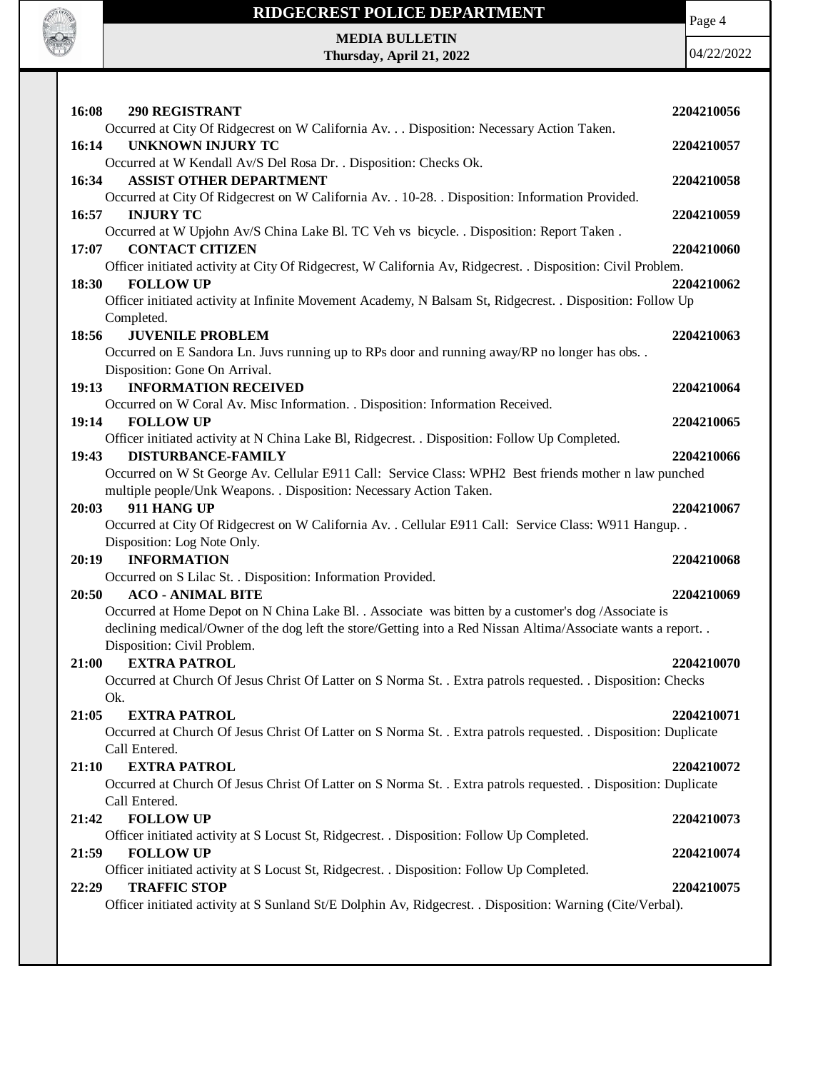